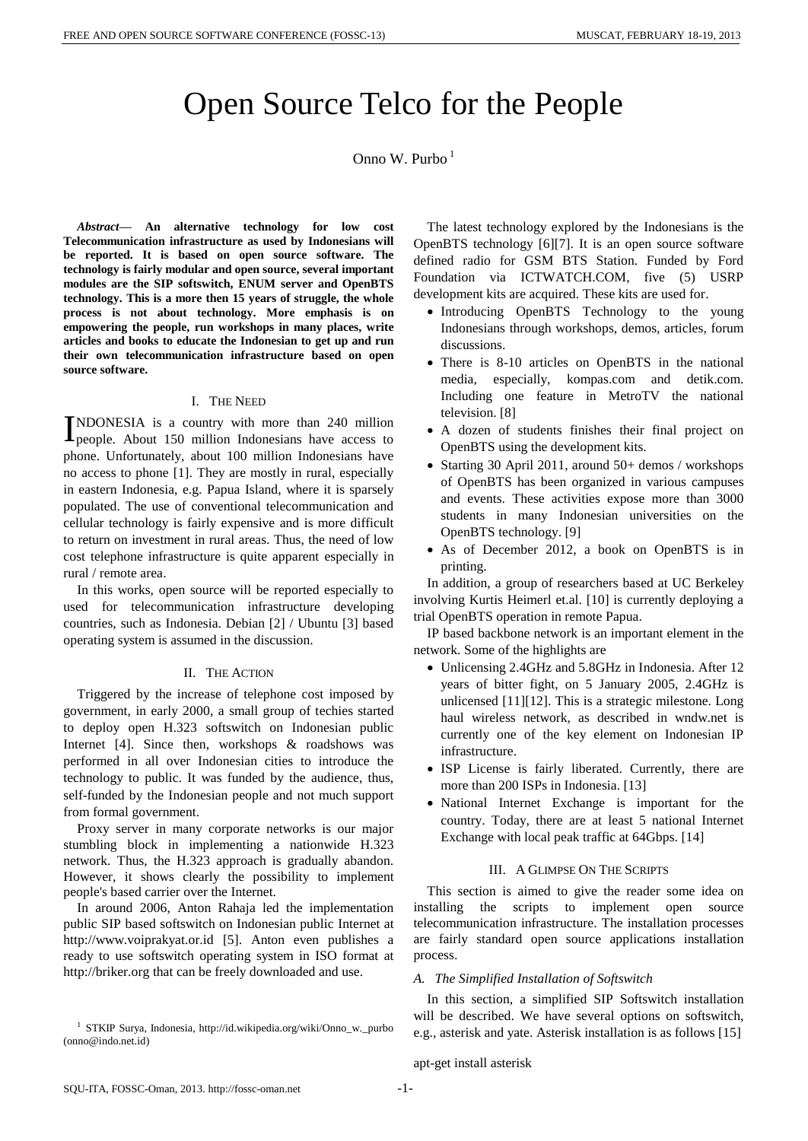# Open Source Telco for the People

## Onno W. Purbo<sup>1</sup>

*Abstract***— An alternative technology for low cost Telecommunication infrastructure as used by Indonesians will be reported. It is based on open source software. The technology is fairly modular and open source, several important modules are the SIP softswitch, ENUM server and OpenBTS technology. This is a more then 15 years of struggle, the whole process is not about technology. More emphasis is on empowering the people, run workshops in many places, write articles and books to educate the Indonesian to get up and run their own telecommunication infrastructure based on open source software.**

#### I. THE NEED

NDONESIA is a country with more than 240 million INDONESIA is a country with more than 240 million<br>people. About 150 million Indonesians have access to phone. Unfortunately, about 100 million Indonesians have no access to phone [1]. They are mostly in rural, especially in eastern Indonesia, e.g. Papua Island, where it is sparsely populated. The use of conventional telecommunication and cellular technology is fairly expensive and is more difficult to return on investment in rural areas. Thus, the need of low cost telephone infrastructure is quite apparent especially in rural / remote area.

In this works, open source will be reported especially to used for telecommunication infrastructure developing countries, such as Indonesia. Debian [2] / Ubuntu [3] based operating system is assumed in the discussion.

#### II. THE ACTION

Triggered by the increase of telephone cost imposed by government, in early 2000, a small group of techies started to deploy open H.323 softswitch on Indonesian public Internet [4]. Since then, workshops & roadshows was performed in all over Indonesian cities to introduce the technology to public. It was funded by the audience, thus, self-funded by the Indonesian people and not much support from formal government.

Proxy server in many corporate networks is our major stumbling block in implementing a nationwide H.323 network. Thus, the H.323 approach is gradually abandon. However, it shows clearly the possibility to implement people's based carrier over the Internet.

In around 2006, Anton Rahaja led the implementation public SIP based softswitch on Indonesian public Internet at http://www.voiprakyat.or.id [5]. Anton even publishes a ready to use softswitch operating system in ISO format at http://briker.org that can be freely downloaded and use.

The latest technology explored by the Indonesians is the OpenBTS technology [6][7]. It is an open source software defined radio for GSM BTS Station. Funded by Ford Foundation via ICTWATCH.COM, five (5) USRP development kits are acquired. These kits are used for.

- Introducing OpenBTS Technology to the young Indonesians through workshops, demos, articles, forum discussions.
- There is 8-10 articles on OpenBTS in the national media, especially, kompas.com and detik.com. Including one feature in MetroTV the national television. [8]
- A dozen of students finishes their final project on OpenBTS using the development kits.
- Starting 30 April 2011, around 50+ demos / workshops of OpenBTS has been organized in various campuses and events. These activities expose more than 3000 students in many Indonesian universities on the OpenBTS technology. [9]
- As of December 2012, a book on OpenBTS is in printing.

In addition, a group of researchers based at UC Berkeley involving Kurtis Heimerl et.al. [10] is currently deploying a trial OpenBTS operation in remote Papua.

IP based backbone network is an important element in the network. Some of the highlights are

- Unlicensing 2.4GHz and 5.8GHz in Indonesia. After 12 years of bitter fight, on 5 January 2005, 2.4GHz is unlicensed [11][12]. This is a strategic milestone. Long haul wireless network, as described in wndw.net is currently one of the key element on Indonesian IP infrastructure.
- ISP License is fairly liberated. Currently, there are more than 200 ISPs in Indonesia. [13]
- National Internet Exchange is important for the country. Today, there are at least 5 national Internet Exchange with local peak traffic at 64Gbps. [14]

#### III. A GLIMPSE ON THE SCRIPTS

This section is aimed to give the reader some idea on installing the scripts to implement open source telecommunication infrastructure. The installation processes are fairly standard open source applications installation process.

#### *A. The Simplified Installation of Softswitch*

In this section, a simplified SIP Softswitch installation will be described. We have several options on softswitch, e.g., asterisk and yate. Asterisk installation is as follows [15]

apt-get install asterisk

<sup>1</sup> STKIP Surya, Indonesia, http://id.wikipedia.org/wiki/Onno\_w.\_purbo (onno@indo.net.id)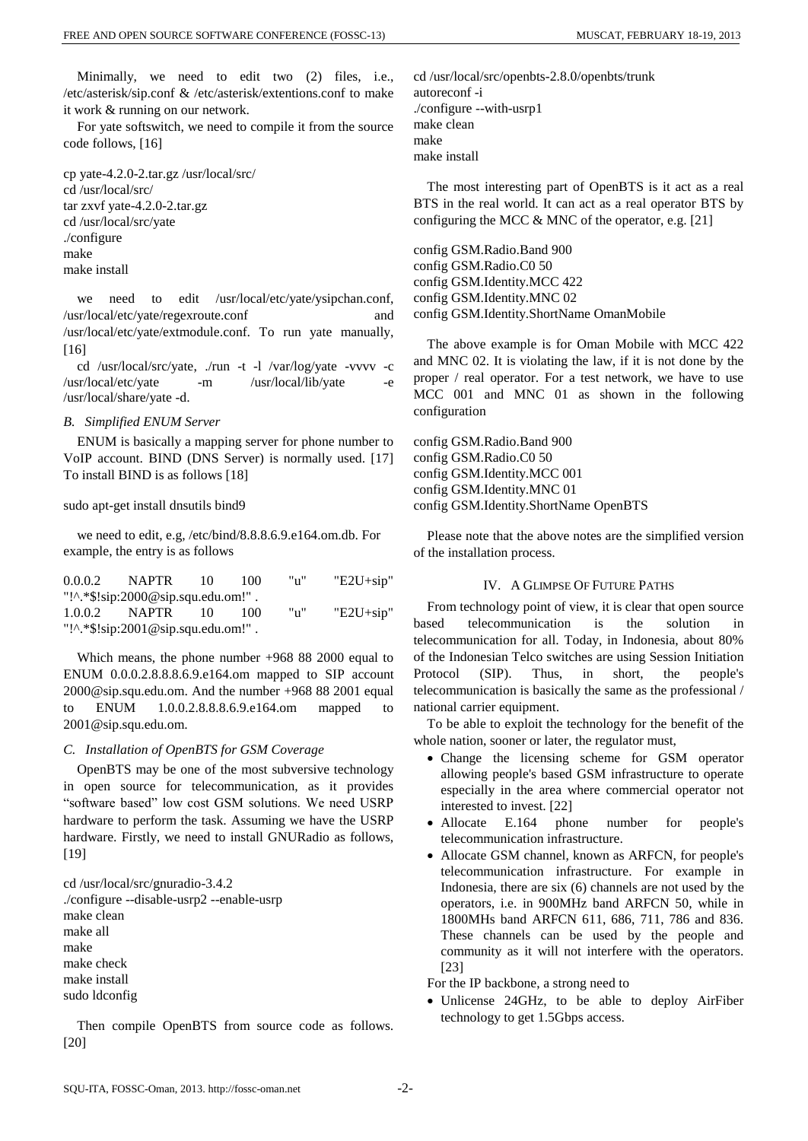Minimally, we need to edit two (2) files, i.e., /etc/asterisk/sip.conf & /etc/asterisk/extentions.conf to make it work & running on our network.

For yate softswitch, we need to compile it from the source code follows, [16]

cp yate-4.2.0-2.tar.gz /usr/local/src/ cd /usr/local/src/ tar zxvf yate-4.2.0-2.tar.gz cd /usr/local/src/yate ./configure make make install

we need to edit /usr/local/etc/yate/ysipchan.conf, /usr/local/etc/yate/regexroute.conf and /usr/local/etc/yate/extmodule.conf. To run yate manually,  $[16]$ 

cd /usr/local/src/yate, ./run -t -l /var/log/yate -vvvv -c /usr/local/etc/yate -m /usr/local/lib/yate -e /usr/local/share/yate -d.

#### *B. Simplified ENUM Server*

ENUM is basically a mapping server for phone number to VoIP account. BIND (DNS Server) is normally used. [17] To install BIND is as follows [18]

sudo apt-get install dnsutils bind9

we need to edit, e.g, /etc/bind/8.8.8.6.9.e164.om.db. For example, the entry is as follows

| 0.0.0.2 | NAPTR                              | 10  | 100 | "n" | $"E2U+sip"$ |
|---------|------------------------------------|-----|-----|-----|-------------|
|         | "!^.*\$!sip:2000@sip.squ.edu.om!". |     |     |     |             |
|         | $1.0.0.2$ NAPTR                    | 10. | 100 | "n" | $"E2U+sip"$ |
|         | "!^.*\$!sip:2001@sip.squ.edu.om!". |     |     |     |             |

Which means, the phone number +968 88 2000 equal to ENUM 0.0.0.2.8.8.8.6.9.e164.om mapped to SIP account 2000@sip.squ.edu.om. And the number +968 88 2001 equal to ENUM 1.0.0.2.8.8.8.6.9.e164.om mapped to 2001@sip.squ.edu.om.

#### *C. Installation of OpenBTS for GSM Coverage*

OpenBTS may be one of the most subversive technology in open source for telecommunication, as it provides "software based" low cost GSM solutions. We need USRP hardware to perform the task. Assuming we have the USRP hardware. Firstly, we need to install GNURadio as follows, [19]

cd /usr/local/src/gnuradio-3.4.2 ./configure --disable-usrp2 --enable-usrp make clean make all make make check make install sudo ldconfig

Then compile OpenBTS from source code as follows. [20]

cd /usr/local/src/openbts-2.8.0/openbts/trunk autoreconf -i ./configure --with-usrp1 make clean make make install

The most interesting part of OpenBTS is it act as a real BTS in the real world. It can act as a real operator BTS by configuring the MCC & MNC of the operator, e.g. [21]

config GSM.Radio.Band 900 config GSM.Radio.C0 50 config GSM.Identity.MCC 422 config GSM.Identity.MNC 02 config GSM.Identity.ShortName OmanMobile

The above example is for Oman Mobile with MCC 422 and MNC 02. It is violating the law, if it is not done by the proper / real operator. For a test network, we have to use MCC 001 and MNC 01 as shown in the following configuration

config GSM.Radio.Band 900 config GSM.Radio.C0 50 config GSM.Identity.MCC 001 config GSM.Identity.MNC 01 config GSM.Identity.ShortName OpenBTS

Please note that the above notes are the simplified version of the installation process.

### IV. A GLIMPSE OF FUTURE PATHS

From technology point of view, it is clear that open source based telecommunication is the solution in telecommunication for all. Today, in Indonesia, about 80% of the Indonesian Telco switches are using Session Initiation Protocol (SIP). Thus, in short, the people's telecommunication is basically the same as the professional / national carrier equipment.

To be able to exploit the technology for the benefit of the whole nation, sooner or later, the regulator must,

- Change the licensing scheme for GSM operator allowing people's based GSM infrastructure to operate especially in the area where commercial operator not interested to invest. [22]
- Allocate E.164 phone number for people's telecommunication infrastructure.
- Allocate GSM channel, known as ARFCN, for people's telecommunication infrastructure. For example in Indonesia, there are six (6) channels are not used by the operators, i.e. in 900MHz band ARFCN 50, while in 1800MHs band ARFCN 611, 686, 711, 786 and 836. These channels can be used by the people and community as it will not interfere with the operators. [23]

For the IP backbone, a strong need to

 Unlicense 24GHz, to be able to deploy AirFiber technology to get 1.5Gbps access.